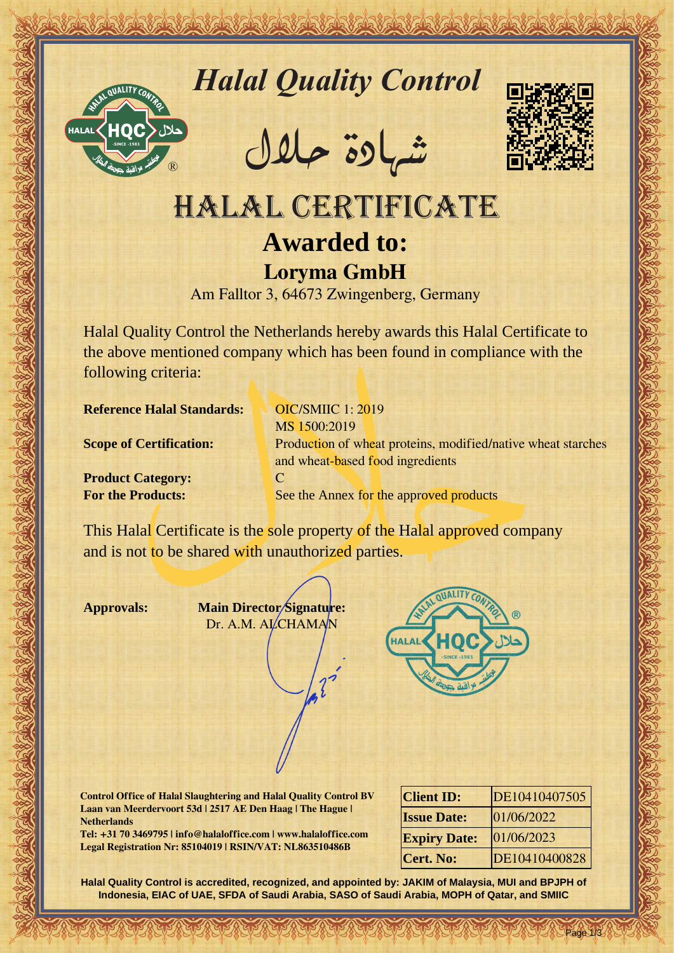

# *Halal Quality Control*

REACTOR AND THE REAL PROPERTY OF THE REAL PROPERTY

�شهادة حالل



## HALAL CERTIFICATE **Awarded to: Loryma GmbH**

Am Falltor 3, 64673 Zwingenberg, Germany

Halal Quality Control the Netherlands hereby awards this Halal Certificate to the above mentioned company which has been found in compliance with the following criteria:

**Reference Halal Standards:** OIC/SMIIC 1: 2019

**Product Category:** C

Hallal Quality Control Exception<br>
11 MLAL CERTIFICATE<br>
Avanted to:<br>
Argumente Margaret Care and Control of the Care and Control of the distribution<br>
And Care and Control of the activity control of the state of the distribu MS 1500:2019 **Scope of Certification:** Production of wheat proteins, modified/native wheat starches and wheat-based food ingredients **For the Products:** See the Annex for the approved products

This Halal Certificate is the sole property of the Halal approved company and is not to be shared with unauthorized parties.

**Approvals: Main Director Signature:** Dr. A.M. ALCHAMAN



**Control Office of Halal Slaughtering and Halal Quality Control BV Laan van Meerdervoort 53d | 2517 AE Den Haag | The Hague | Netherlands**

**Tel: +31 70 3469795 | info@halaloffice.com | www.halaloffice.com Legal Registration Nr: 85104019 | RSIN/VAT: NL863510486B**

| <b>Client ID:</b>   | DE10410407505 |
|---------------------|---------------|
| <b>Issue Date:</b>  | 01/06/2022    |
| <b>Expiry Date:</b> | 01/06/2023    |
| <b>Cert. No:</b>    | DE10410400828 |

Page 1/3

**Halal Quality Control is accredited, recognized, and appointed by: JAKIM of Malaysia, MUI and BPJPH of Indonesia, EIAC of UAE, SFDA of Saudi Arabia, SASO of Saudi Arabia, MOPH of Qatar, and SMIIC**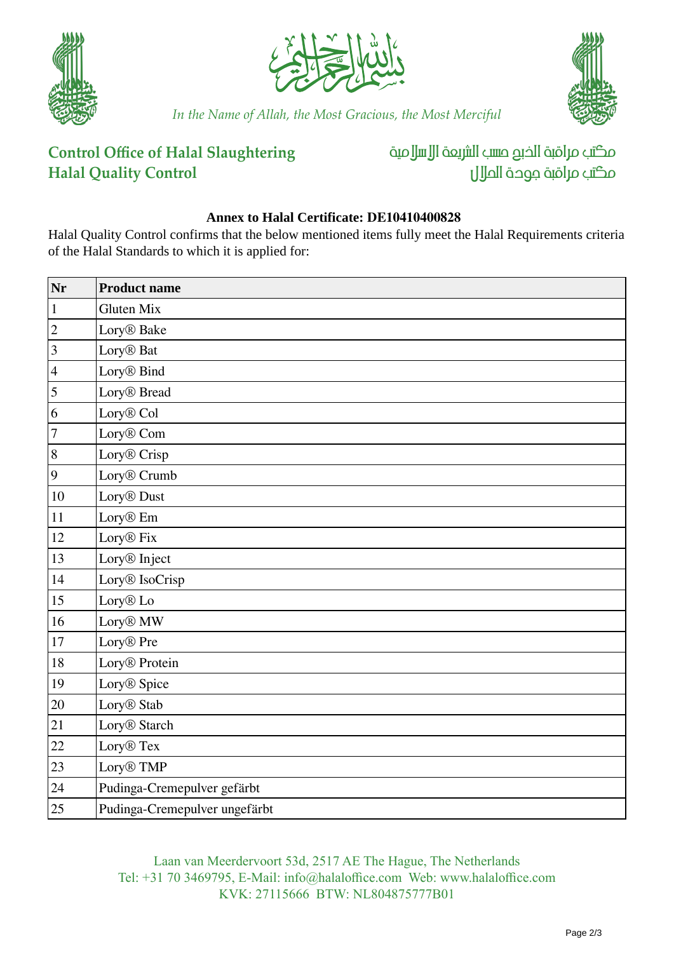





*In the Name of Allah, the Most Gracious, the Most Merciful*

#### **Control Office of Halal Slaughtering Halal Quality Control**

مكتب مراقبة الذبم صسب الشريعة الإسلامية مكتب مراقبة جودة المال

#### **Annex to Halal Certificate: DE10410400828**

Halal Quality Control confirms that the below mentioned items fully meet the Halal Requirements criteria of the Halal Standards to which it is applied for:

| Nr                      | <b>Product name</b>           |
|-------------------------|-------------------------------|
| $\,1\,$                 | <b>Gluten Mix</b>             |
| $ 2\rangle$             | Lory <sup>®</sup> Bake        |
| $ 3\rangle$             | Lory <sup>®</sup> Bat         |
| $\vert 4$               | Lory <sup>®</sup> Bind        |
| $\overline{\mathbf{5}}$ | Lory <sup>®</sup> Bread       |
| 6                       | Lory <sup>®</sup> Col         |
| 7                       | Lory <sup>®</sup> Com         |
| 8                       | Lory <sup>®</sup> Crisp       |
| $\vert 9 \vert$         | Lory <sup>®</sup> Crumb       |
| 10                      | Lory <sup>®</sup> Dust        |
| 11                      | Lory <sup>®</sup> Em          |
| 12                      | Lory <sup>®</sup> Fix         |
| 13                      | Lory <sup>®</sup> Inject      |
| 14                      | Lory <sup>®</sup> IsoCrisp    |
| 15                      | Lory <sup>®</sup> Lo          |
| 16                      | Lory <sup>®</sup> MW          |
| 17                      | Lory <sup>®</sup> Pre         |
| 18                      | Lory <sup>®</sup> Protein     |
| 19                      | Lory <sup>®</sup> Spice       |
| 20                      | Lory <sup>®</sup> Stab        |
| 21                      | Lory <sup>®</sup> Starch      |
| 22                      | Lory <sup>®</sup> Tex         |
| 23                      | Lory <sup>®</sup> TMP         |
| 24                      | Pudinga-Cremepulver gefärbt   |
| 25                      | Pudinga-Cremepulver ungefärbt |

Laan van Meerdervoort 53d, 2517 AE The Hague, The Netherlands Tel: +31 70 3469795, E-Mail: info@halaloffice.com Web: www.halaloffice.com KVK: 27115666 BTW: NL804875777B01